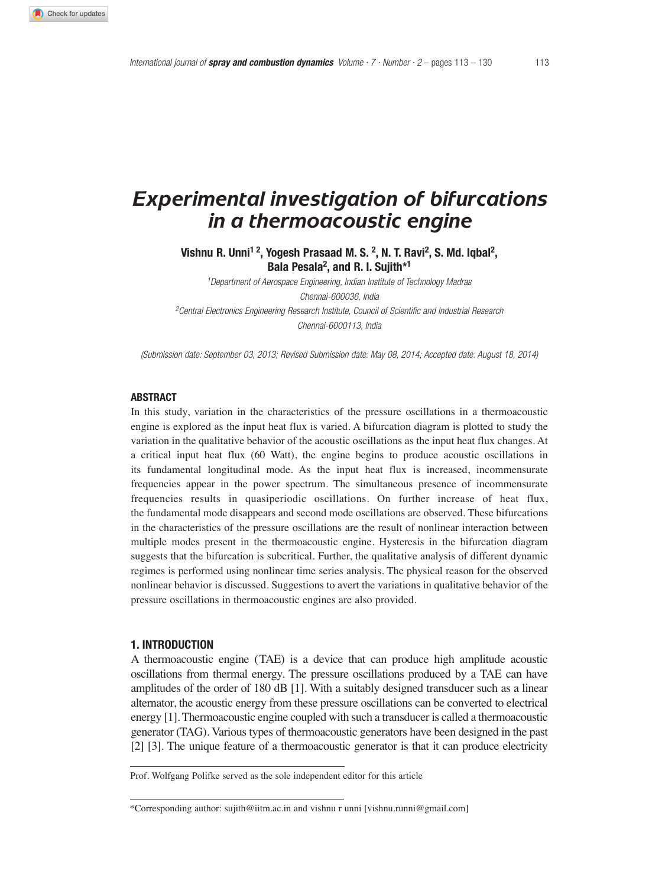# *Experimental investigation of bifurcations in a thermoacoustic engine*

**Vishnu R. Unni1 2, Yogesh Prasaad M. S. 2, N. T. Ravi2, S. Md. Iqbal2, Bala Pesala2, and R. I. Sujith\*1**

<sup>1</sup>Department of Aerospace Engineering, Indian Institute of Technology Madras Chennai-600036, India <sup>2</sup>Central Electronics Engineering Research Institute, Council of Scientific and Industrial Research Chennai-6000113, India

(Submission date: September 03, 2013; Revised Submission date: May 08, 2014; Accepted date: August 18, 2014)

## **ABSTRACT**

In this study, variation in the characteristics of the pressure oscillations in a thermoacoustic engine is explored as the input heat flux is varied. A bifurcation diagram is plotted to study the variation in the qualitative behavior of the acoustic oscillations as the input heat flux changes. At a critical input heat flux (60 Watt), the engine begins to produce acoustic oscillations in its fundamental longitudinal mode. As the input heat flux is increased, incommensurate frequencies appear in the power spectrum. The simultaneous presence of incommensurate frequencies results in quasiperiodic oscillations. On further increase of heat flux, the fundamental mode disappears and second mode oscillations are observed. These bifurcations in the characteristics of the pressure oscillations are the result of nonlinear interaction between multiple modes present in the thermoacoustic engine. Hysteresis in the bifurcation diagram suggests that the bifurcation is subcritical. Further, the qualitative analysis of different dynamic regimes is performed using nonlinear time series analysis. The physical reason for the observed nonlinear behavior is discussed. Suggestions to avert the variations in qualitative behavior of the pressure oscillations in thermoacoustic engines are also provided.

## **1. INTRODUCTION**

A thermoacoustic engine (TAE) is a device that can produce high amplitude acoustic oscillations from thermal energy. The pressure oscillations produced by a TAE can have amplitudes of the order of 180 dB [1]. With a suitably designed transducer such as a linear alternator, the acoustic energy from these pressure oscillations can be converted to electrical energy [1]. Thermoacoustic engine coupled with such a transducer is called a thermoacoustic generator (TAG). Various types of thermoacoustic generators have been designed in the past [2] [3]. The unique feature of a thermoacoustic generator is that it can produce electricity

Prof. Wolfgang Polifke served as the sole independent editor for this article

<sup>\*</sup>Corresponding author: sujith@iitm.ac.in and vishnu r unni [vishnu.runni@gmail.com]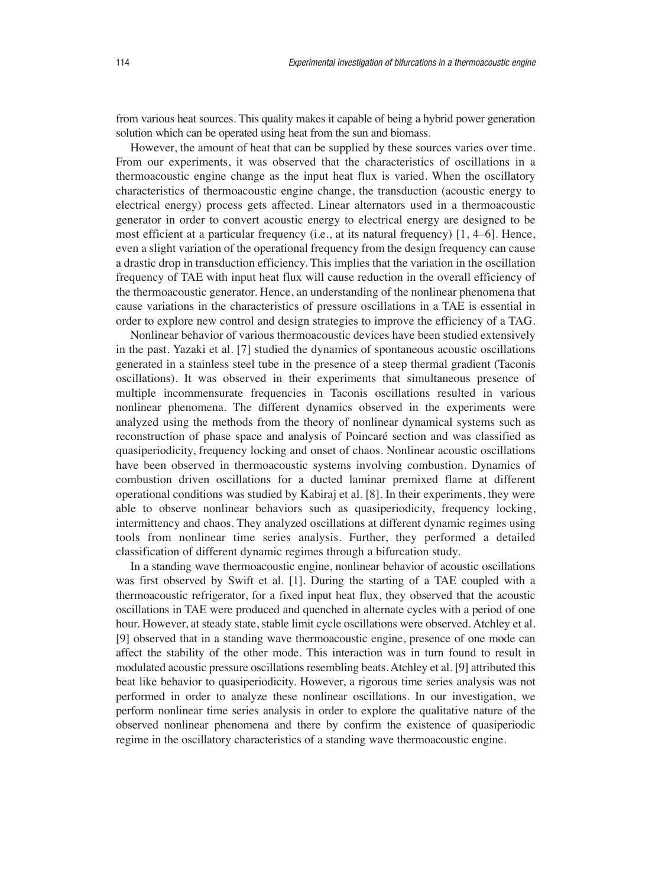from various heat sources. This quality makes it capable of being a hybrid power generation solution which can be operated using heat from the sun and biomass.

However, the amount of heat that can be supplied by these sources varies over time. From our experiments, it was observed that the characteristics of oscillations in a thermoacoustic engine change as the input heat flux is varied. When the oscillatory characteristics of thermoacoustic engine change, the transduction (acoustic energy to electrical energy) process gets affected. Linear alternators used in a thermoacoustic generator in order to convert acoustic energy to electrical energy are designed to be most efficient at a particular frequency (i.e., at its natural frequency) [1, 4–6]. Hence, even a slight variation of the operational frequency from the design frequency can cause a drastic drop in transduction efficiency. This implies that the variation in the oscillation frequency of TAE with input heat flux will cause reduction in the overall efficiency of the thermoacoustic generator. Hence, an understanding of the nonlinear phenomena that cause variations in the characteristics of pressure oscillations in a TAE is essential in order to explore new control and design strategies to improve the efficiency of a TAG.

Nonlinear behavior of various thermoacoustic devices have been studied extensively in the past. Yazaki et al. [7] studied the dynamics of spontaneous acoustic oscillations generated in a stainless steel tube in the presence of a steep thermal gradient (Taconis oscillations). It was observed in their experiments that simultaneous presence of multiple incommensurate frequencies in Taconis oscillations resulted in various nonlinear phenomena. The different dynamics observed in the experiments were analyzed using the methods from the theory of nonlinear dynamical systems such as reconstruction of phase space and analysis of Poincaré section and was classified as quasiperiodicity, frequency locking and onset of chaos. Nonlinear acoustic oscillations have been observed in thermoacoustic systems involving combustion. Dynamics of combustion driven oscillations for a ducted laminar premixed flame at different operational conditions was studied by Kabiraj et al. [8]. In their experiments, they were able to observe nonlinear behaviors such as quasiperiodicity, frequency locking, intermittency and chaos. They analyzed oscillations at different dynamic regimes using tools from nonlinear time series analysis. Further, they performed a detailed classification of different dynamic regimes through a bifurcation study.

In a standing wave thermoacoustic engine, nonlinear behavior of acoustic oscillations was first observed by Swift et al. [1]. During the starting of a TAE coupled with a thermoacoustic refrigerator, for a fixed input heat flux, they observed that the acoustic oscillations in TAE were produced and quenched in alternate cycles with a period of one hour. However, at steady state, stable limit cycle oscillations were observed. Atchley et al. [9] observed that in a standing wave thermoacoustic engine, presence of one mode can affect the stability of the other mode. This interaction was in turn found to result in modulated acoustic pressure oscillations resembling beats. Atchley et al. [9] attributed this beat like behavior to quasiperiodicity. However, a rigorous time series analysis was not performed in order to analyze these nonlinear oscillations. In our investigation, we perform nonlinear time series analysis in order to explore the qualitative nature of the observed nonlinear phenomena and there by confirm the existence of quasiperiodic regime in the oscillatory characteristics of a standing wave thermoacoustic engine.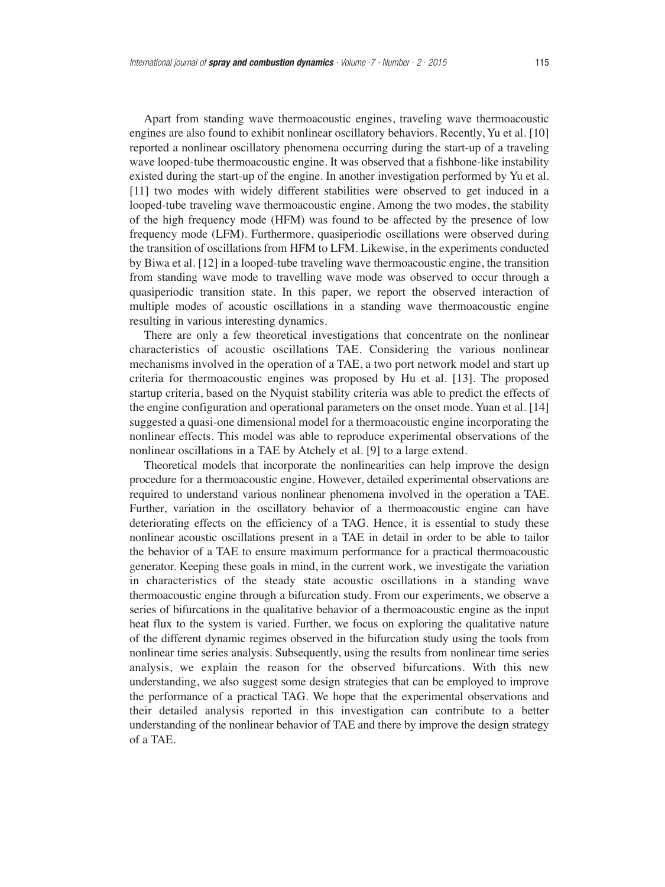Apart from standing wave thermoacoustic engines, traveling wave thermoacoustic engines are also found to exhibit nonlinear oscillatory behaviors. Recently, Yu et al. [10] reported a nonlinear oscillatory phenomena occurring during the start-up of a traveling wave looped-tube thermoacoustic engine. It was observed that a fishbone-like instability existed during the start-up of the engine. In another investigation performed by Yu et al. [11] two modes with widely different stabilities were observed to get induced in a looped-tube traveling wave thermoacoustic engine. Among the two modes, the stability of the high frequency mode (HFM) was found to be affected by the presence of low frequency mode (LFM). Furthermore, quasiperiodic oscillations were observed during the transition of oscillations from HFM to LFM. Likewise, in the experiments conducted by Biwa et al. [12] in a looped-tube traveling wave thermoacoustic engine, the transition from standing wave mode to travelling wave mode was observed to occur through a quasiperiodic transition state. In this paper, we report the observed interaction of multiple modes of acoustic oscillations in a standing wave thermoacoustic engine resulting in various interesting dynamics.

There are only a few theoretical investigations that concentrate on the nonlinear characteristics of acoustic oscillations TAE. Considering the various nonlinear mechanisms involved in the operation of a TAE, a two port network model and start up criteria for thermoacoustic engines was proposed by Hu et al. [13]. The proposed startup criteria, based on the Nyquist stability criteria was able to predict the effects of the engine configuration and operational parameters on the onset mode. Yuan et al. [14] suggested a quasi-one dimensional model for a thermoacoustic engine incorporating the nonlinear effects. This model was able to reproduce experimental observations of the nonlinear oscillations in a TAE by Atchely et al. [9] to a large extend.

Theoretical models that incorporate the nonlinearities can help improve the design procedure for a thermoacoustic engine. However, detailed experimental observations are required to understand various nonlinear phenomena involved in the operation a TAE. Further, variation in the oscillatory behavior of a thermoacoustic engine can have deteriorating effects on the efficiency of a TAG. Hence, it is essential to study these nonlinear acoustic oscillations present in a TAE in detail in order to be able to tailor the behavior of a TAE to ensure maximum performance for a practical thermoacoustic generator. Keeping these goals in mind, in the current work, we investigate the variation in characteristics of the steady state acoustic oscillations in a standing wave thermoacoustic engine through a bifurcation study. From our experiments, we observe a series of bifurcations in the qualitative behavior of a thermoacoustic engine as the input heat flux to the system is varied. Further, we focus on exploring the qualitative nature of the different dynamic regimes observed in the bifurcation study using the tools from nonlinear time series analysis. Subsequently, using the results from nonlinear time series analysis, we explain the reason for the observed bifurcations. With this new understanding, we also suggest some design strategies that can be employed to improve the performance of a practical TAG. We hope that the experimental observations and their detailed analysis reported in this investigation can contribute to a better understanding of the nonlinear behavior of TAE and there by improve the design strategy of a TAE.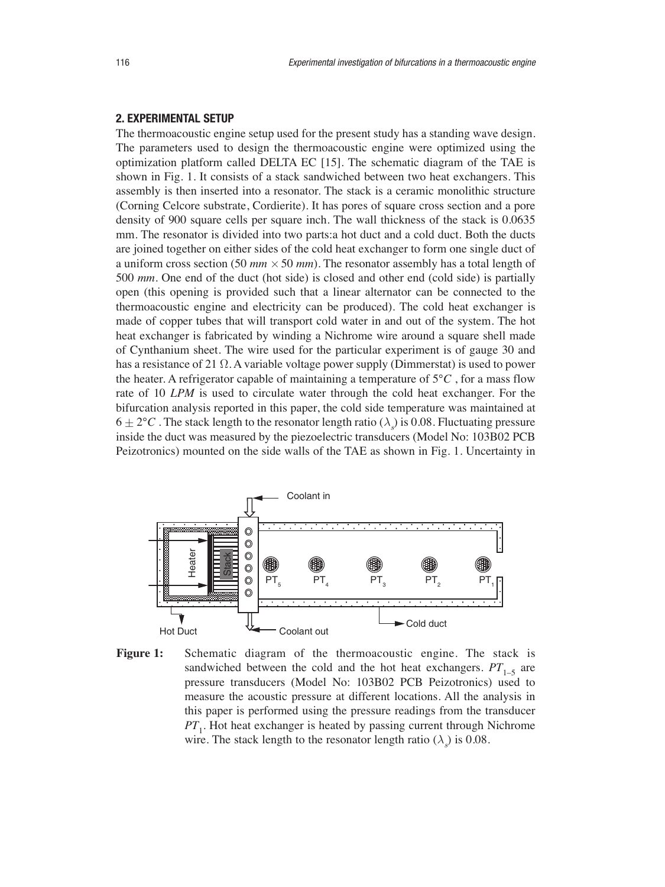## **2. EXPERIMENTAL SETUP**

The thermoacoustic engine setup used for the present study has a standing wave design. The parameters used to design the thermoacoustic engine were optimized using the optimization platform called DELTA EC [15]. The schematic diagram of the TAE is shown in Fig. 1. It consists of a stack sandwiched between two heat exchangers. This assembly is then inserted into a resonator. The stack is a ceramic monolithic structure (Corning Celcore substrate, Cordierite). It has pores of square cross section and a pore density of 900 square cells per square inch. The wall thickness of the stack is 0.0635 mm. The resonator is divided into two parts:a hot duct and a cold duct. Both the ducts are joined together on either sides of the cold heat exchanger to form one single duct of a uniform cross section (50  $mm \times$  50  $mm$ ). The resonator assembly has a total length of 500 *mm*. One end of the duct (hot side) is closed and other end (cold side) is partially open (this opening is provided such that a linear alternator can be connected to the thermoacoustic engine and electricity can be produced). The cold heat exchanger is made of copper tubes that will transport cold water in and out of the system. The hot heat exchanger is fabricated by winding a Nichrome wire around a square shell made of Cynthanium sheet. The wire used for the particular experiment is of gauge 30 and has a resistance of 21  $\Omega$ . A variable voltage power supply (Dimmerstat) is used to power the heater. A refrigerator capable of maintaining a temperature of  $5^{\circ}C$ , for a mass flow rate of 10 *LPM* is used to circulate water through the cold heat exchanger. For the bifurcation analysis reported in this paper, the cold side temperature was maintained at  $6 \pm 2^{\circ}$ C. The stack length to the resonator length ratio ( $\lambda$ <sub>s</sub>) is 0.08. Fluctuating pressure inside the duct was measured by the piezoelectric transducers (Model No: 103B02 PCB Peizotronics) mounted on the side walls of the TAE as shown in Fig. 1. Uncertainty in



**Figure 1:** Schematic diagram of the thermoacoustic engine. The stack is sandwiched between the cold and the hot heat exchangers.  $PT_{1-5}$  are pressure transducers (Model No: 103B02 PCB Peizotronics) used to measure the acoustic pressure at different locations. All the analysis in this paper is performed using the pressure readings from the transducer *PT*<sub>1</sub>. Hot heat exchanger is heated by passing current through Nichrome wire. The stack length to the resonator length ratio  $(\lambda_s)$  is 0.08.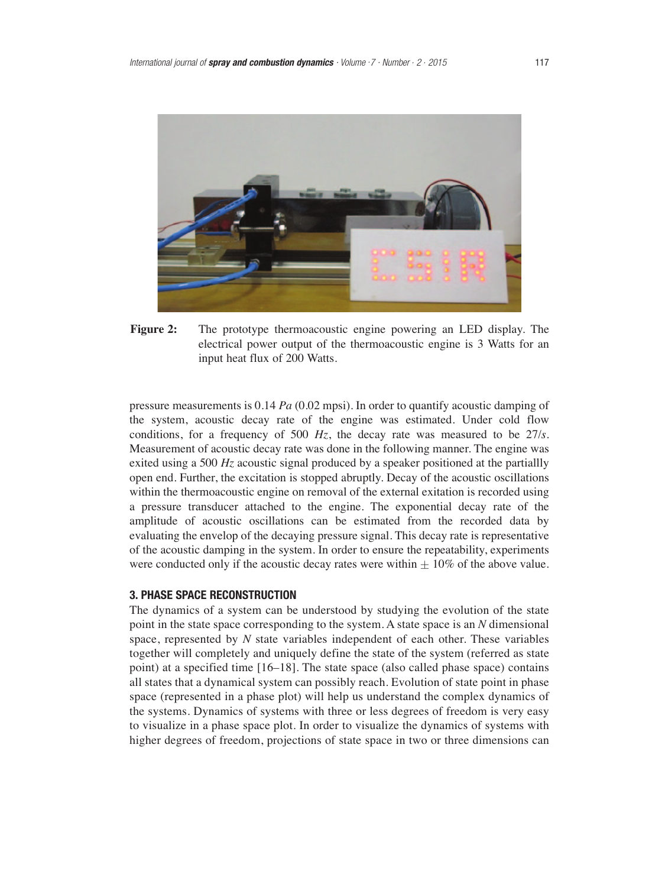

**Figure 2:** The prototype thermoacoustic engine powering an LED display. The electrical power output of the thermoacoustic engine is 3 Watts for an input heat flux of 200 Watts.

pressure measurements is 0.14 *Pa* (0.02 mpsi). In order to quantify acoustic damping of the system, acoustic decay rate of the engine was estimated. Under cold flow conditions, for a frequency of 500 *Hz*, the decay rate was measured to be 27/*s*. Measurement of acoustic decay rate was done in the following manner. The engine was exited using a 500 *Hz* acoustic signal produced by a speaker positioned at the partiallly open end. Further, the excitation is stopped abruptly. Decay of the acoustic oscillations within the thermoacoustic engine on removal of the external exitation is recorded using a pressure transducer attached to the engine. The exponential decay rate of the amplitude of acoustic oscillations can be estimated from the recorded data by evaluating the envelop of the decaying pressure signal. This decay rate is representative of the acoustic damping in the system. In order to ensure the repeatability, experiments were conducted only if the acoustic decay rates were within  $\pm$  10% of the above value.

# **3. PHASE SPACE RECONSTRUCTION**

The dynamics of a system can be understood by studying the evolution of the state point in the state space corresponding to the system. A state space is an *N* dimensional space, represented by *N* state variables independent of each other. These variables together will completely and uniquely define the state of the system (referred as state point) at a specified time [16–18]. The state space (also called phase space) contains all states that a dynamical system can possibly reach. Evolution of state point in phase space (represented in a phase plot) will help us understand the complex dynamics of the systems. Dynamics of systems with three or less degrees of freedom is very easy to visualize in a phase space plot. In order to visualize the dynamics of systems with higher degrees of freedom, projections of state space in two or three dimensions can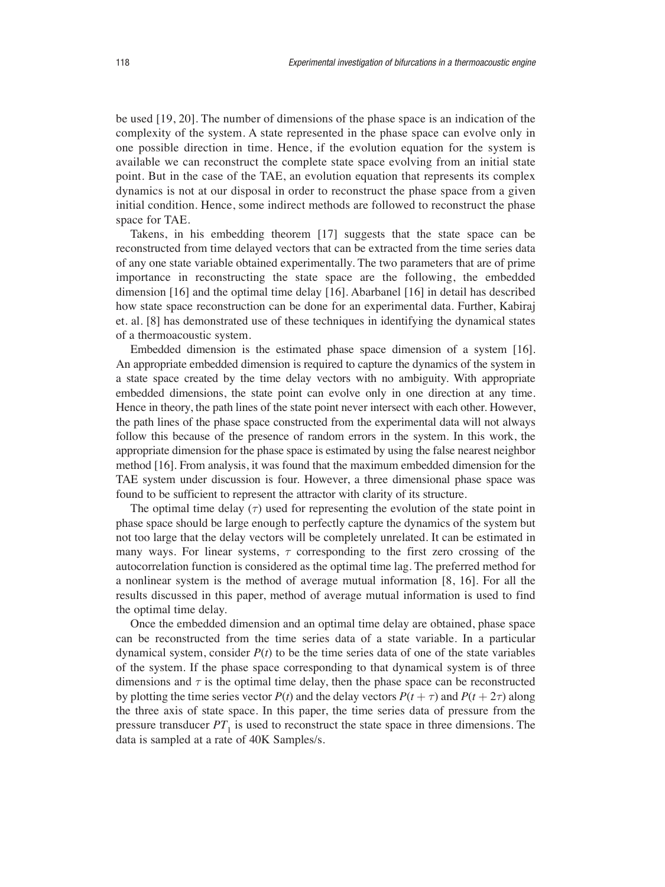be used [19, 20]. The number of dimensions of the phase space is an indication of the complexity of the system. A state represented in the phase space can evolve only in one possible direction in time. Hence, if the evolution equation for the system is available we can reconstruct the complete state space evolving from an initial state point. But in the case of the TAE, an evolution equation that represents its complex dynamics is not at our disposal in order to reconstruct the phase space from a given initial condition. Hence, some indirect methods are followed to reconstruct the phase space for TAE.

Takens, in his embedding theorem [17] suggests that the state space can be reconstructed from time delayed vectors that can be extracted from the time series data of any one state variable obtained experimentally. The two parameters that are of prime importance in reconstructing the state space are the following, the embedded dimension [16] and the optimal time delay [16]. Abarbanel [16] in detail has described how state space reconstruction can be done for an experimental data. Further, Kabiraj et. al. [8] has demonstrated use of these techniques in identifying the dynamical states of a thermoacoustic system.

Embedded dimension is the estimated phase space dimension of a system [16]. An appropriate embedded dimension is required to capture the dynamics of the system in a state space created by the time delay vectors with no ambiguity. With appropriate embedded dimensions, the state point can evolve only in one direction at any time. Hence in theory, the path lines of the state point never intersect with each other. However, the path lines of the phase space constructed from the experimental data will not always follow this because of the presence of random errors in the system. In this work, the appropriate dimension for the phase space is estimated by using the false nearest neighbor method [16]. From analysis, it was found that the maximum embedded dimension for the TAE system under discussion is four. However, a three dimensional phase space was found to be sufficient to represent the attractor with clarity of its structure.

The optimal time delay  $(\tau)$  used for representing the evolution of the state point in phase space should be large enough to perfectly capture the dynamics of the system but not too large that the delay vectors will be completely unrelated. It can be estimated in many ways. For linear systems, *τ* corresponding to the first zero crossing of the autocorrelation function is considered as the optimal time lag. The preferred method for a nonlinear system is the method of average mutual information [8, 16]. For all the results discussed in this paper, method of average mutual information is used to find the optimal time delay.

Once the embedded dimension and an optimal time delay are obtained, phase space can be reconstructed from the time series data of a state variable. In a particular dynamical system, consider  $P(t)$  to be the time series data of one of the state variables of the system. If the phase space corresponding to that dynamical system is of three dimensions and  $\tau$  is the optimal time delay, then the phase space can be reconstructed by plotting the time series vector  $P(t)$  and the delay vectors  $P(t + \tau)$  and  $P(t + 2\tau)$  along the three axis of state space. In this paper, the time series data of pressure from the pressure transducer  $PT_1$  is used to reconstruct the state space in three dimensions. The data is sampled at a rate of 40K Samples/s.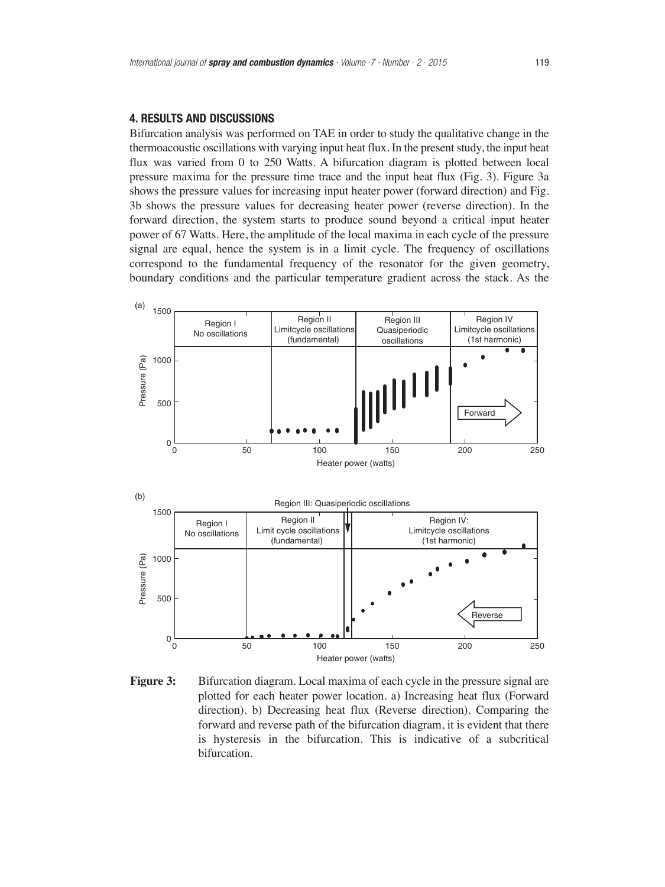## **4. RESULTS AND DISCUSSIONS**

Bifurcation analysis was performed on TAE in order to study the qualitative change in the thermoacoustic oscillations with varying input heat flux. In the present study, the input heat flux was varied from 0 to 250 Watts. A bifurcation diagram is plotted between local pressure maxima for the pressure time trace and the input heat flux (Fig. 3). Figure 3a shows the pressure values for increasing input heater power (forward direction) and Fig. 3b shows the pressure values for decreasing heater power (reverse direction). In the forward direction, the system starts to produce sound beyond a critical input heater power of 67 Watts. Here, the amplitude of the local maxima in each cycle of the pressure signal are equal, hence the system is in a limit cycle. The frequency of oscillations correspond to the fundamental frequency of the resonator for the given geometry, boundary conditions and the particular temperature gradient across the stack. As the



**Figure 3:** Bifurcation diagram. Local maxima of each cycle in the pressure signal are plotted for each heater power location. a) Increasing heat flux (Forward direction). b) Decreasing heat flux (Reverse direction). Comparing the forward and reverse path of the bifurcation diagram, it is evident that there is hysteresis in the bifurcation. This is indicative of a subcritical bifurcation.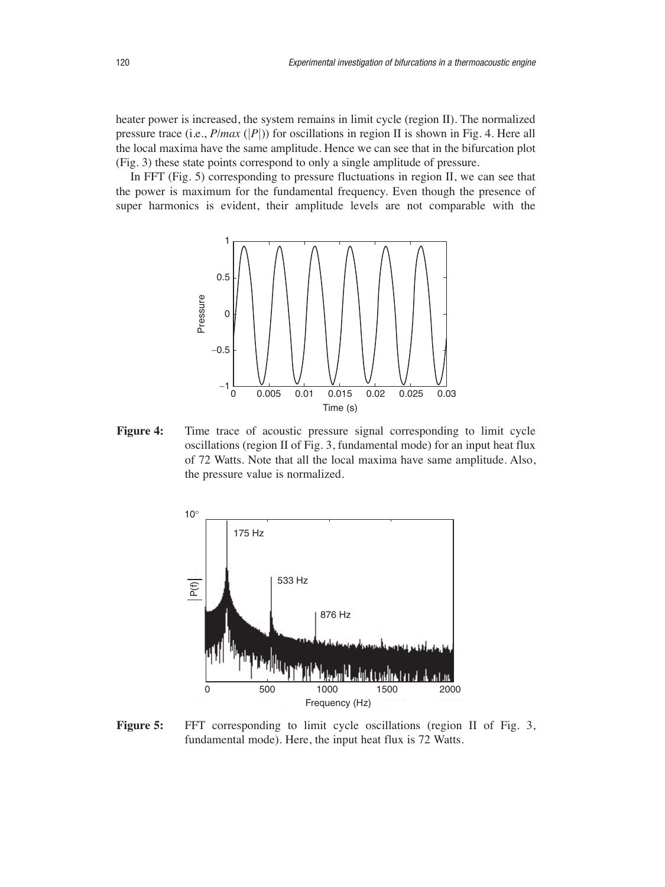heater power is increased, the system remains in limit cycle (region II). The normalized pressure trace (i.e.,  $P/max$  (|*P*|)) for oscillations in region II is shown in Fig. 4. Here all the local maxima have the same amplitude. Hence we can see that in the bifurcation plot (Fig. 3) these state points correspond to only a single amplitude of pressure.

In FFT (Fig. 5) corresponding to pressure fluctuations in region II, we can see that the power is maximum for the fundamental frequency. Even though the presence of super harmonics is evident, their amplitude levels are not comparable with the



**Figure 4:** Time trace of acoustic pressure signal corresponding to limit cycle oscillations (region II of Fig. 3, fundamental mode) for an input heat flux of 72 Watts. Note that all the local maxima have same amplitude. Also, the pressure value is normalized.



Figure 5: FFT corresponding to limit cycle oscillations (region II of Fig. 3, fundamental mode). Here, the input heat flux is 72 Watts.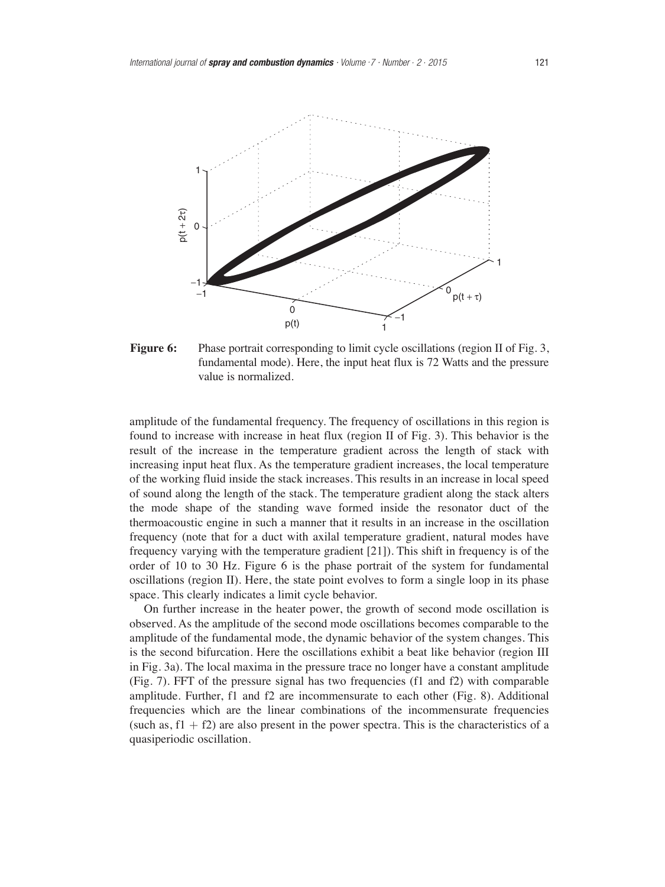

**Figure 6:** Phase portrait corresponding to limit cycle oscillations (region II of Fig. 3, fundamental mode). Here, the input heat flux is 72 Watts and the pressure value is normalized.

amplitude of the fundamental frequency. The frequency of oscillations in this region is found to increase with increase in heat flux (region II of Fig. 3). This behavior is the result of the increase in the temperature gradient across the length of stack with increasing input heat flux. As the temperature gradient increases, the local temperature of the working fluid inside the stack increases. This results in an increase in local speed of sound along the length of the stack. The temperature gradient along the stack alters the mode shape of the standing wave formed inside the resonator duct of the thermoacoustic engine in such a manner that it results in an increase in the oscillation frequency (note that for a duct with axilal temperature gradient, natural modes have frequency varying with the temperature gradient [21]). This shift in frequency is of the order of 10 to 30 Hz. Figure 6 is the phase portrait of the system for fundamental oscillations (region II). Here, the state point evolves to form a single loop in its phase space. This clearly indicates a limit cycle behavior.

On further increase in the heater power, the growth of second mode oscillation is observed. As the amplitude of the second mode oscillations becomes comparable to the amplitude of the fundamental mode, the dynamic behavior of the system changes. This is the second bifurcation. Here the oscillations exhibit a beat like behavior (region III in Fig. 3a). The local maxima in the pressure trace no longer have a constant amplitude (Fig. 7). FFT of the pressure signal has two frequencies (f1 and f2) with comparable amplitude. Further, f1 and f2 are incommensurate to each other (Fig. 8). Additional frequencies which are the linear combinations of the incommensurate frequencies (such as,  $f1 + f2$ ) are also present in the power spectra. This is the characteristics of a quasiperiodic oscillation.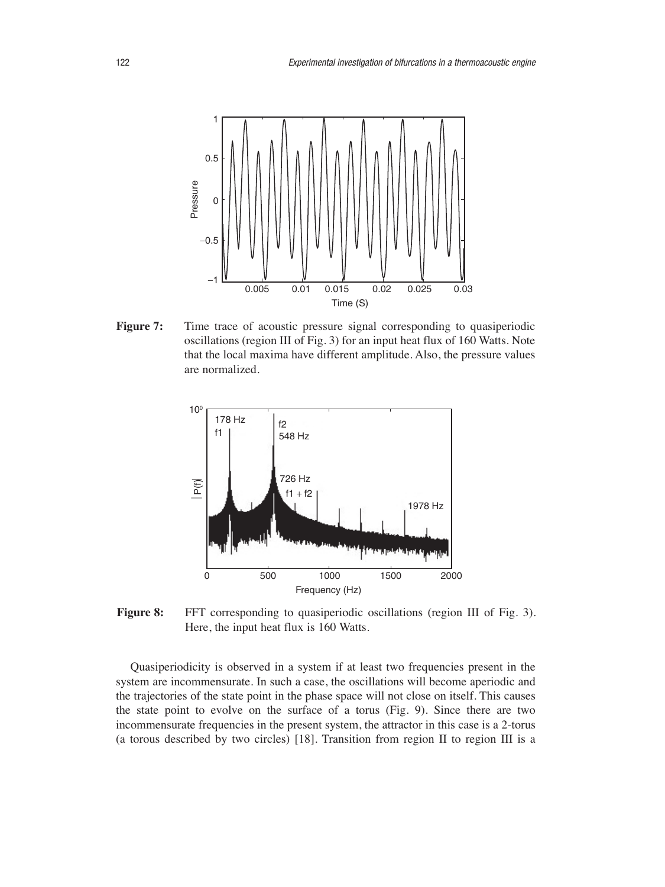

Figure 7: Time trace of acoustic pressure signal corresponding to quasiperiodic oscillations (region III of Fig. 3) for an input heat flux of 160 Watts. Note that the local maxima have different amplitude. Also, the pressure values are normalized.



**Figure 8:** FFT corresponding to quasiperiodic oscillations (region III of Fig. 3). Here, the input heat flux is 160 Watts.

Quasiperiodicity is observed in a system if at least two frequencies present in the system are incommensurate. In such a case, the oscillations will become aperiodic and the trajectories of the state point in the phase space will not close on itself. This causes the state point to evolve on the surface of a torus (Fig. 9). Since there are two incommensurate frequencies in the present system, the attractor in this case is a 2-torus (a torous described by two circles) [18]. Transition from region II to region III is a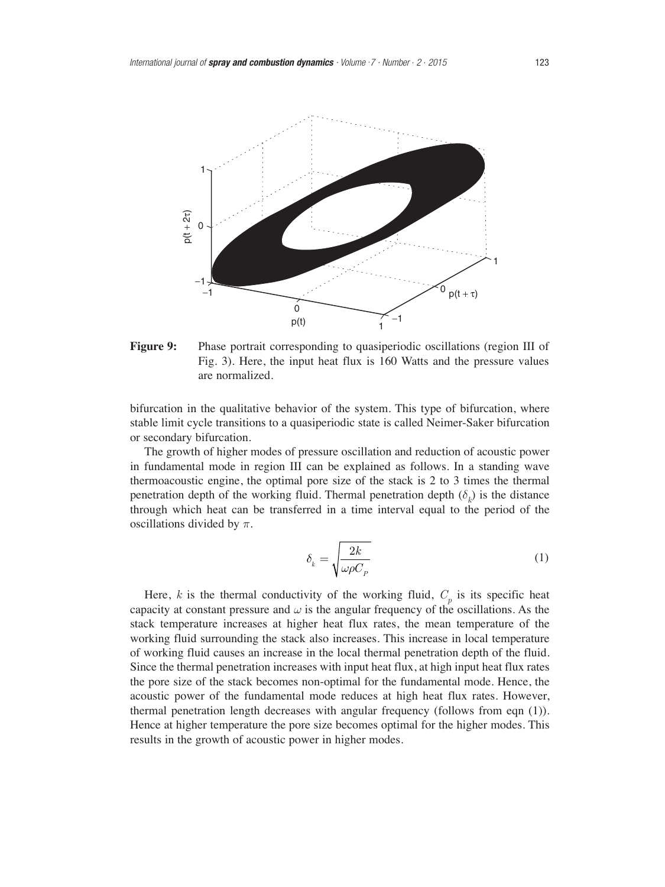

**Figure 9:** Phase portrait corresponding to quasiperiodic oscillations (region III of Fig. 3). Here, the input heat flux is 160 Watts and the pressure values are normalized.

bifurcation in the qualitative behavior of the system. This type of bifurcation, where stable limit cycle transitions to a quasiperiodic state is called Neimer-Saker bifurcation or secondary bifurcation.

The growth of higher modes of pressure oscillation and reduction of acoustic power in fundamental mode in region III can be explained as follows. In a standing wave thermoacoustic engine, the optimal pore size of the stack is 2 to 3 times the thermal penetration depth of the working fluid. Thermal penetration depth  $(\delta_k)$  is the distance through which heat can be transferred in a time interval equal to the period of the oscillations divided by *π*.

$$
\delta_k = \sqrt{\frac{2k}{\omega \rho C_P}}\tag{1}
$$

Here,  $k$  is the thermal conductivity of the working fluid,  $C_p$  is its specific heat capacity at constant pressure and  $\omega$  is the angular frequency of the oscillations. As the stack temperature increases at higher heat flux rates, the mean temperature of the working fluid surrounding the stack also increases. This increase in local temperature of working fluid causes an increase in the local thermal penetration depth of the fluid. Since the thermal penetration increases with input heat flux, at high input heat flux rates the pore size of the stack becomes non-optimal for the fundamental mode. Hence, the acoustic power of the fundamental mode reduces at high heat flux rates. However, thermal penetration length decreases with angular frequency (follows from eqn (1)). Hence at higher temperature the pore size becomes optimal for the higher modes. This results in the growth of acoustic power in higher modes.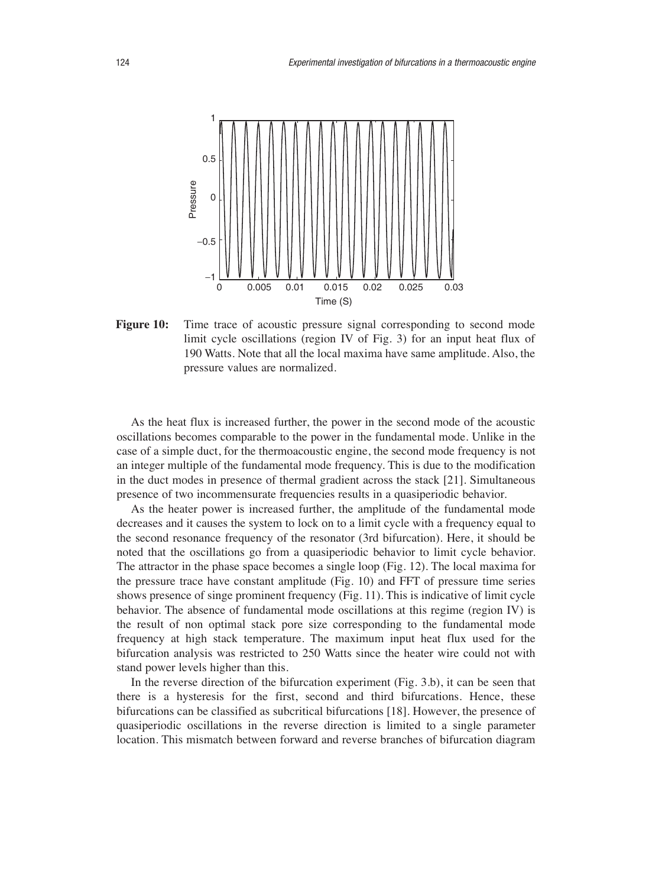

**Figure 10:** Time trace of acoustic pressure signal corresponding to second mode limit cycle oscillations (region IV of Fig. 3) for an input heat flux of 190 Watts. Note that all the local maxima have same amplitude. Also, the pressure values are normalized.

As the heat flux is increased further, the power in the second mode of the acoustic oscillations becomes comparable to the power in the fundamental mode. Unlike in the case of a simple duct, for the thermoacoustic engine, the second mode frequency is not an integer multiple of the fundamental mode frequency. This is due to the modification in the duct modes in presence of thermal gradient across the stack [21]. Simultaneous presence of two incommensurate frequencies results in a quasiperiodic behavior.

As the heater power is increased further, the amplitude of the fundamental mode decreases and it causes the system to lock on to a limit cycle with a frequency equal to the second resonance frequency of the resonator (3rd bifurcation). Here, it should be noted that the oscillations go from a quasiperiodic behavior to limit cycle behavior. The attractor in the phase space becomes a single loop (Fig. 12). The local maxima for the pressure trace have constant amplitude (Fig. 10) and FFT of pressure time series shows presence of singe prominent frequency (Fig. 11). This is indicative of limit cycle behavior. The absence of fundamental mode oscillations at this regime (region IV) is the result of non optimal stack pore size corresponding to the fundamental mode frequency at high stack temperature. The maximum input heat flux used for the bifurcation analysis was restricted to 250 Watts since the heater wire could not with stand power levels higher than this.

In the reverse direction of the bifurcation experiment (Fig. 3.b), it can be seen that there is a hysteresis for the first, second and third bifurcations. Hence, these bifurcations can be classified as subcritical bifurcations [18]. However, the presence of quasiperiodic oscillations in the reverse direction is limited to a single parameter location. This mismatch between forward and reverse branches of bifurcation diagram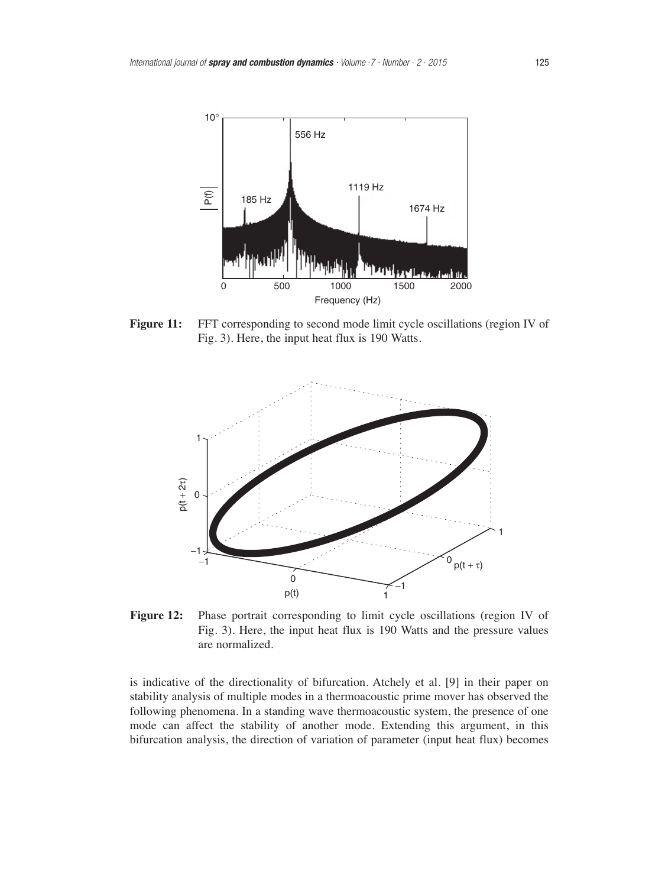

**Figure 11:** FFT corresponding to second mode limit cycle oscillations (region IV of Fig. 3). Here, the input heat flux is 190 Watts.



**Figure 12:** Phase portrait corresponding to limit cycle oscillations (region IV of Fig. 3). Here, the input heat flux is 190 Watts and the pressure values are normalized.

is indicative of the directionality of bifurcation. Atchely et al. [9] in their paper on stability analysis of multiple modes in a thermoacoustic prime mover has observed the following phenomena. In a standing wave thermoacoustic system, the presence of one mode can affect the stability of another mode. Extending this argument, in this bifurcation analysis, the direction of variation of parameter (input heat flux) becomes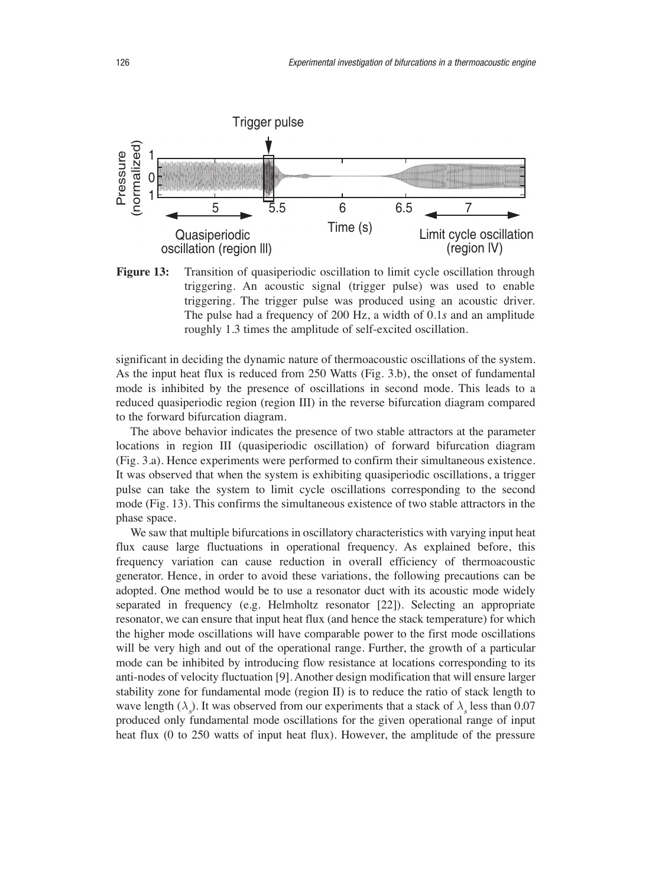

**Figure 13:** Transition of quasiperiodic oscillation to limit cycle oscillation through triggering. An acoustic signal (trigger pulse) was used to enable triggering. The trigger pulse was produced using an acoustic driver. The pulse had a frequency of 200 Hz, a width of 0.1*s* and an amplitude roughly 1.3 times the amplitude of self-excited oscillation.

significant in deciding the dynamic nature of thermoacoustic oscillations of the system. As the input heat flux is reduced from 250 Watts (Fig. 3.b), the onset of fundamental mode is inhibited by the presence of oscillations in second mode. This leads to a reduced quasiperiodic region (region III) in the reverse bifurcation diagram compared to the forward bifurcation diagram.

The above behavior indicates the presence of two stable attractors at the parameter locations in region III (quasiperiodic oscillation) of forward bifurcation diagram (Fig. 3.a). Hence experiments were performed to confirm their simultaneous existence. It was observed that when the system is exhibiting quasiperiodic oscillations, a trigger pulse can take the system to limit cycle oscillations corresponding to the second mode (Fig. 13). This confirms the simultaneous existence of two stable attractors in the phase space.

We saw that multiple bifurcations in oscillatory characteristics with varying input heat flux cause large fluctuations in operational frequency. As explained before, this frequency variation can cause reduction in overall efficiency of thermoacoustic generator. Hence, in order to avoid these variations, the following precautions can be adopted. One method would be to use a resonator duct with its acoustic mode widely separated in frequency (e.g. Helmholtz resonator [22]). Selecting an appropriate resonator, we can ensure that input heat flux (and hence the stack temperature) for which the higher mode oscillations will have comparable power to the first mode oscillations will be very high and out of the operational range. Further, the growth of a particular mode can be inhibited by introducing flow resistance at locations corresponding to its anti-nodes of velocity fluctuation [9]. Another design modification that will ensure larger stability zone for fundamental mode (region II) is to reduce the ratio of stack length to wave length ( $\lambda$ <sub>s</sub>). It was observed from our experiments that a stack of  $\lambda$ <sub>s</sub> less than 0.07 produced only fundamental mode oscillations for the given operational range of input heat flux (0 to 250 watts of input heat flux). However, the amplitude of the pressure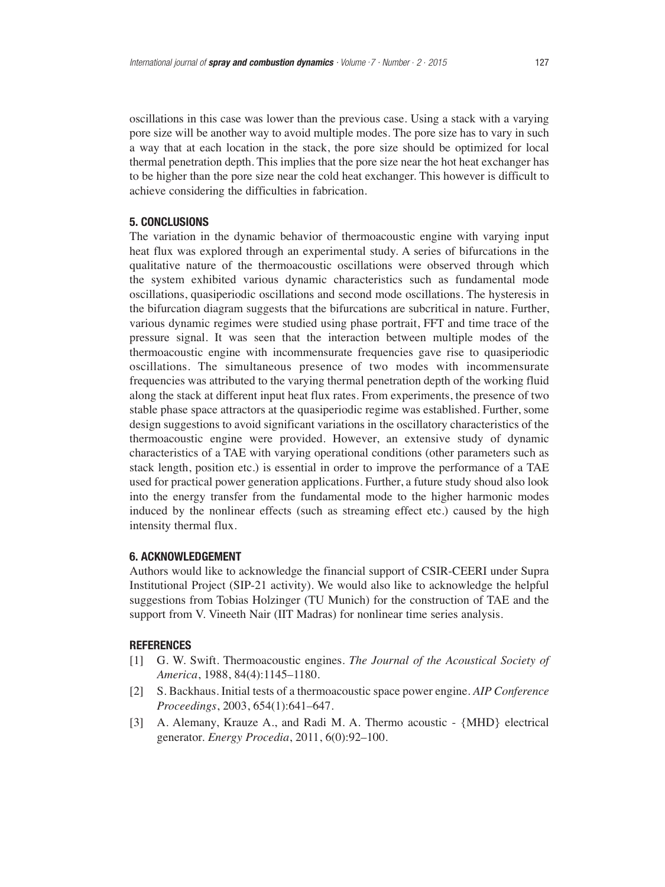oscillations in this case was lower than the previous case. Using a stack with a varying pore size will be another way to avoid multiple modes. The pore size has to vary in such a way that at each location in the stack, the pore size should be optimized for local thermal penetration depth. This implies that the pore size near the hot heat exchanger has to be higher than the pore size near the cold heat exchanger. This however is difficult to achieve considering the difficulties in fabrication.

# **5. CONCLUSIONS**

The variation in the dynamic behavior of thermoacoustic engine with varying input heat flux was explored through an experimental study. A series of bifurcations in the qualitative nature of the thermoacoustic oscillations were observed through which the system exhibited various dynamic characteristics such as fundamental mode oscillations, quasiperiodic oscillations and second mode oscillations. The hysteresis in the bifurcation diagram suggests that the bifurcations are subcritical in nature. Further, various dynamic regimes were studied using phase portrait, FFT and time trace of the pressure signal. It was seen that the interaction between multiple modes of the thermoacoustic engine with incommensurate frequencies gave rise to quasiperiodic oscillations. The simultaneous presence of two modes with incommensurate frequencies was attributed to the varying thermal penetration depth of the working fluid along the stack at different input heat flux rates. From experiments, the presence of two stable phase space attractors at the quasiperiodic regime was established. Further, some design suggestions to avoid significant variations in the oscillatory characteristics of the thermoacoustic engine were provided. However, an extensive study of dynamic characteristics of a TAE with varying operational conditions (other parameters such as stack length, position etc.) is essential in order to improve the performance of a TAE used for practical power generation applications. Further, a future study shoud also look into the energy transfer from the fundamental mode to the higher harmonic modes induced by the nonlinear effects (such as streaming effect etc.) caused by the high intensity thermal flux.

# **6. ACKNOWLEDGEMENT**

Authors would like to acknowledge the financial support of CSIR-CEERI under Supra Institutional Project (SIP-21 activity). We would also like to acknowledge the helpful suggestions from Tobias Holzinger (TU Munich) for the construction of TAE and the support from V. Vineeth Nair (IIT Madras) for nonlinear time series analysis.

# **REFERENCES**

- [1] G. W. Swift. Thermoacoustic engines. *The Journal of the Acoustical Society of America*, 1988, 84(4):1145–1180.
- [2] S. Backhaus. Initial tests of a thermoacoustic space power engine. *AIP Conference Proceedings*, 2003, 654(1):641–647.
- [3] A. Alemany, Krauze A., and Radi M. A. Thermo acoustic {MHD} electrical generator. *Energy Procedia*, 2011, 6(0):92–100.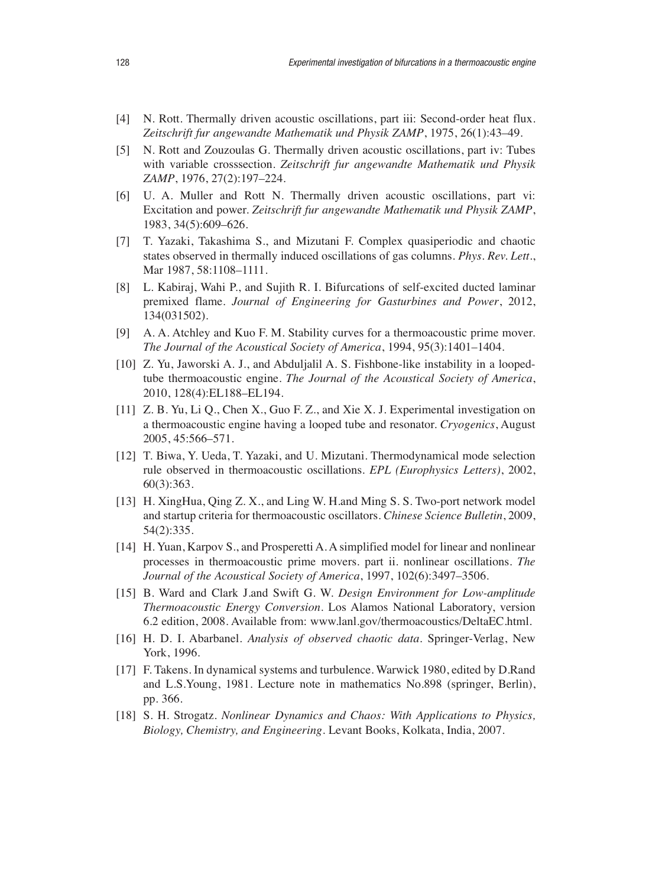- [4] N. Rott. Thermally driven acoustic oscillations, part iii: Second-order heat flux. *Zeitschrift fur angewandte Mathematik und Physik ZAMP*, 1975, 26(1):43–49.
- [5] N. Rott and Zouzoulas G. Thermally driven acoustic oscillations, part iv: Tubes with variable crosssection. *Zeitschrift fur angewandte Mathematik und Physik ZAMP*, 1976, 27(2):197–224.
- [6] U. A. Muller and Rott N. Thermally driven acoustic oscillations, part vi: Excitation and power. *Zeitschrift fur angewandte Mathematik und Physik ZAMP*, 1983, 34(5):609–626.
- [7] T. Yazaki, Takashima S., and Mizutani F. Complex quasiperiodic and chaotic states observed in thermally induced oscillations of gas columns. *Phys. Rev. Lett.*, Mar 1987, 58:1108-1111.
- [8] L. Kabiraj, Wahi P., and Sujith R. I. Bifurcations of self-excited ducted laminar premixed flame. *Journal of Engineering for Gasturbines and Power*, 2012, 134(031502).
- [9] A. A. Atchley and Kuo F. M. Stability curves for a thermoacoustic prime mover. *The Journal of the Acoustical Society of America*, 1994, 95(3):1401–1404.
- [10] Z. Yu, Jaworski A. J., and Abduljalil A. S. Fishbone-like instability in a loopedtube thermoacoustic engine. *The Journal of the Acoustical Society of America*, 2010, 128(4):EL188–EL194.
- [11] Z. B. Yu, Li Q., Chen X., Guo F. Z., and Xie X. J. Experimental investigation on a thermoacoustic engine having a looped tube and resonator. *Cryogenics*, August 2005, 45:566–571.
- [12] T. Biwa, Y. Ueda, T. Yazaki, and U. Mizutani. Thermodynamical mode selection rule observed in thermoacoustic oscillations. *EPL (Europhysics Letters)*, 2002, 60(3):363.
- [13] H. XingHua, Qing Z. X., and Ling W. H.and Ming S. S. Two-port network model and startup criteria for thermoacoustic oscillators. *Chinese Science Bulletin*, 2009, 54(2):335.
- [14] H. Yuan, Karpov S., and Prosperetti A. A simplified model for linear and nonlinear processes in thermoacoustic prime movers. part ii. nonlinear oscillations. *The Journal of the Acoustical Society of America*, 1997, 102(6):3497–3506.
- [15] B. Ward and Clark J.and Swift G. W. *Design Environment for Low-amplitude Thermoacoustic Energy Conversion*. Los Alamos National Laboratory, version 6.2 edition, 2008. Available from: www.lanl.gov/thermoacoustics/DeltaEC.html.
- [16] H. D. I. Abarbanel. *Analysis of observed chaotic data*. Springer-Verlag, New York, 1996.
- [17] F. Takens. In dynamical systems and turbulence. Warwick 1980, edited by D.Rand and L.S.Young, 1981. Lecture note in mathematics No.898 (springer, Berlin), pp. 366.
- [18] S. H. Strogatz. *Nonlinear Dynamics and Chaos: With Applications to Physics, Biology, Chemistry, and Engineering*. Levant Books, Kolkata, India, 2007.